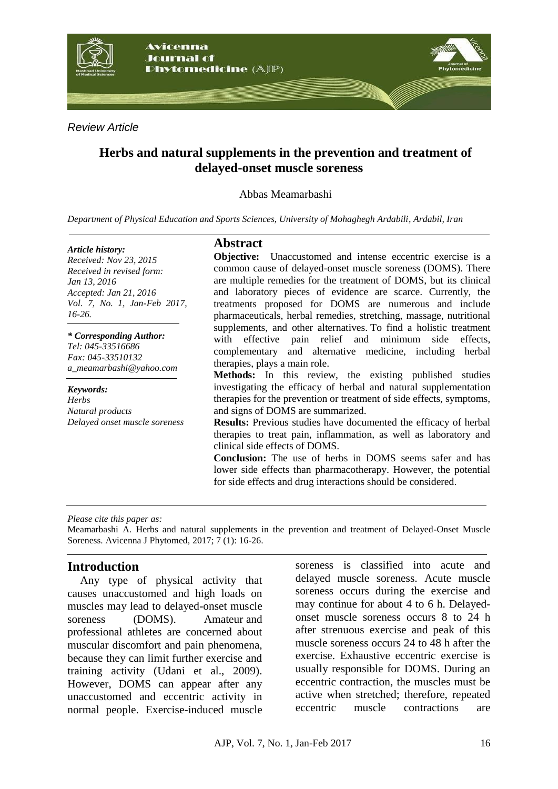

*Review Article*

# **Herbs and natural supplements in the prevention and treatment of delayed-onset muscle soreness**

Abbas Meamarbashi

*Department of Physical Education and Sports Sciences, University of Mohaghegh Ardabili, Ardabil, Iran*

#### *Article history:*

*Received: Nov 23, 2015 Received in revised form: Jan 13, 2016 Accepted: Jan 21, 2016 Vol. 7, No. 1, Jan-Feb 2017, 16-26.*

*\* Corresponding Author: Tel: 045-33516686 Fax: 045-33510132 a\_meamarbashi@yahoo.com* 

*Keywords: Herbs Natural products Delayed onset muscle soreness*

# **Abstract**

**Objective:** Unaccustomed and intense eccentric exercise is a common cause of delayed-onset muscle soreness (DOMS). There are multiple remedies for the treatment of DOMS, but its clinical and laboratory pieces of evidence are scarce. Currently, the treatments proposed for DOMS are numerous and include pharmaceuticals, herbal remedies, stretching, massage, nutritional supplements, and other alternatives. To find a holistic treatment with effective pain relief and minimum side effects, complementary and alternative medicine, including herbal therapies, plays a main role.

**Methods:** In this review, the existing published studies investigating the efficacy of herbal and natural supplementation therapies for the prevention or treatment of side effects, symptoms, and signs of DOMS are summarized.

**Results:** Previous studies have documented the efficacy of herbal therapies to treat pain, inflammation, as well as laboratory and clinical side effects of DOMS.

**Conclusion:** The use of herbs in DOMS seems safer and has lower side effects than pharmacotherapy. However, the potential for side effects and drug interactions should be considered.

#### *Please cite this paper as:*

Meamarbashi A. Herbs and natural supplements in the prevention and treatment of Delayed-Onset Muscle Soreness. Avicenna J Phytomed, 2017; 7 (1): 16-26.

## **Introduction**

Any type of physical activity that causes unaccustomed and high loads on muscles may lead to delayed-onset muscle soreness (DOMS). Amateur and professional athletes are concerned about muscular discomfort and pain phenomena, because they can limit further exercise and training activity (Udani et al., 2009). However, DOMS can appear after any unaccustomed and eccentric activity in normal people. Exercise-induced muscle soreness is classified into acute and delayed muscle soreness. Acute muscle soreness occurs during the exercise and may continue for about 4 to 6 h. Delayedonset muscle soreness occurs 8 to 24 h after strenuous exercise and peak of this muscle soreness occurs 24 to 48 h after the exercise. Exhaustive eccentric exercise is usually responsible for DOMS. During an eccentric contraction, the muscles must be active when stretched; therefore, repeated eccentric muscle contractions are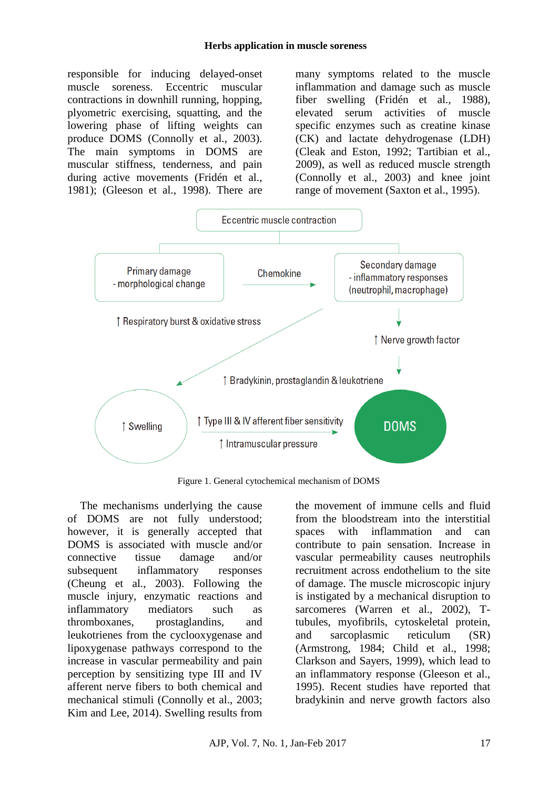#### **Herbs application in muscle soreness**

responsible for inducing delayed-onset muscle soreness. Eccentric muscular contractions in downhill running, hopping, plyometric exercising, squatting, and the lowering phase of lifting weights can produce DOMS (Connolly et al., 2003). The main symptoms in DOMS are muscular stiffness, tenderness, and pain during active movements (Fridén et al., 1981); (Gleeson et al., 1998). There are

many symptoms related to the muscle inflammation and damage such as muscle fiber swelling (Fridén et al., 1988), elevated serum activities of muscle specific enzymes such as creatine kinase (CK) and lactate dehydrogenase (LDH) (Cleak and Eston, 1992; Tartibian et al., 2009), as well as reduced muscle strength (Connolly et al., 2003) and knee joint range of movement (Saxton et al., 1995).



Figure 1. General cytochemical mechanism of DOMS

The mechanisms underlying the cause of DOMS are not fully understood; however, it is generally accepted that DOMS is associated with muscle and/or connective tissue damage and/or subsequent inflammatory responses (Cheung et al., 2003). Following the muscle injury, enzymatic reactions and inflammatory mediators such as thromboxanes, prostaglandins, and leukotrienes from the cyclooxygenase and lipoxygenase pathways correspond to the increase in vascular permeability and pain perception by sensitizing type III and IV afferent nerve fibers to both chemical and mechanical stimuli (Connolly et al., 2003; Kim and Lee, 2014). Swelling results from the movement of immune cells and fluid from the bloodstream into the interstitial spaces with inflammation and can contribute to pain sensation. Increase in vascular permeability causes neutrophils recruitment across endothelium to the site of damage. The muscle microscopic injury is instigated by a mechanical disruption to sarcomeres (Warren et al., 2002), Ttubules, myofibrils, cytoskeletal protein, and sarcoplasmic reticulum (SR) (Armstrong, 1984; Child et al., 1998; Clarkson and Sayers, 1999), which lead to an inflammatory response (Gleeson et al., 1995). Recent studies have reported that bradykinin and nerve growth factors also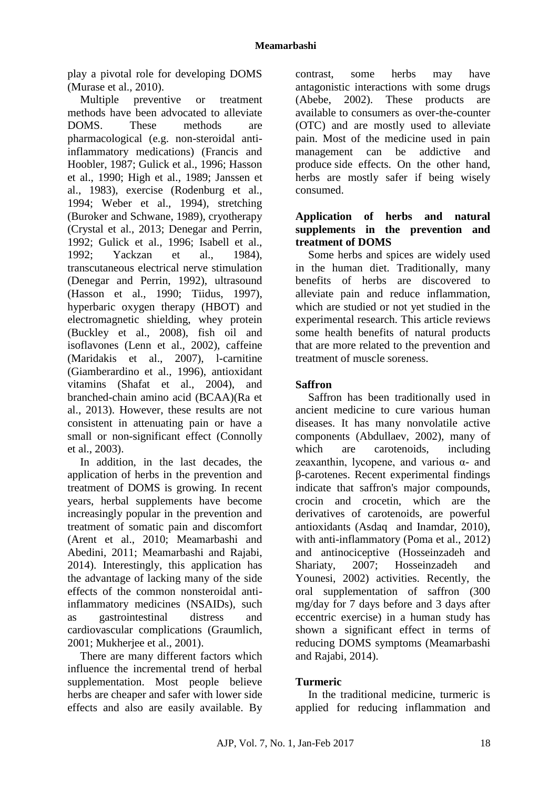play a pivotal role for developing DOMS (Murase et al., 2010).

Multiple preventive or treatment methods have been advocated to alleviate DOMS. These methods are pharmacological (e.g. non-steroidal antiinflammatory medications) (Francis and Hoobler, 1987; Gulick et al., 1996; Hasson et al., 1990; High et al., 1989; Janssen et al., 1983), exercise (Rodenburg et al., 1994; Weber et al., 1994), stretching (Buroker and Schwane, 1989), cryotherapy (Crystal et al., 2013; Denegar and Perrin, 1992; Gulick et al., 1996; Isabell et al., 1992; Yackzan et al., 1984), transcutaneous electrical nerve stimulation (Denegar and Perrin, 1992), ultrasound (Hasson et al., 1990; Tiidus, 1997), hyperbaric oxygen therapy (HBOT) and electromagnetic shielding, whey protein (Buckley et al., 2008), fish oil and isoflavones (Lenn et al., 2002), caffeine (Maridakis et al., 2007), l-carnitine (Giamberardino et al., 1996), antioxidant vitamins (Shafat et al., 2004), and branched-chain amino acid (BCAA)(Ra et al., 2013). However, these results are not consistent in attenuating pain or have a small or non-significant effect (Connolly et al., 2003).

In addition, in the last decades, the application of herbs in the prevention and treatment of DOMS is growing. In recent years, herbal supplements have become increasingly popular in the prevention and treatment of somatic pain and discomfort (Arent et al., 2010; Meamarbashi and Abedini, 2011; Meamarbashi and Rajabi, 2014). Interestingly, this application has the advantage of lacking many of the side effects of the common nonsteroidal antiinflammatory medicines (NSAIDs), such as gastrointestinal distress and cardiovascular complications (Graumlich, 2001; Mukherjee et al., 2001).

There are many different factors which influence the incremental trend of herbal supplementation. Most people believe herbs are cheaper and safer with lower side effects and also are easily available. By

contrast, some herbs may have antagonistic interactions with some drugs (Abebe, 2002). These products are available to consumers as over-the-counter (OTC) and are mostly used to alleviate pain. Most of the medicine used in pain management can be addictive and produce side effects. On the other hand, herbs are mostly safer if being wisely consumed.

## **Application of herbs and natural supplements in the prevention and treatment of DOMS**

Some herbs and spices are widely used in the human diet. Traditionally, many benefits of herbs are discovered to alleviate pain and reduce inflammation, which are studied or not yet studied in the experimental research. This article reviews some health benefits of natural products that are more related to the prevention and treatment of muscle soreness.

## **Saffron**

Saffron has been traditionally used in ancient medicine to cure various human diseases. It has many nonvolatile active components (Abdullaev, 2002), many of which are carotenoids, including zeaxanthin, lycopene, and various  $\alpha$ - and β-carotenes. Recent experimental findings indicate that saffron's major compounds, crocin and crocetin, which are the derivatives of carotenoids, are powerful antioxidants (Asdaq and Inamdar, 2010), with anti-inflammatory (Poma et al., 2012) and antinociceptive (Hosseinzadeh and Shariaty, 2007; Hosseinzadeh and Younesi, 2002) activities. Recently, the oral supplementation of saffron (300 mg/day for 7 days before and 3 days after eccentric exercise) in a human study has shown a significant effect in terms of reducing DOMS symptoms (Meamarbashi and Rajabi, 2014).

## **Turmeric**

In the traditional medicine, turmeric is applied for reducing inflammation and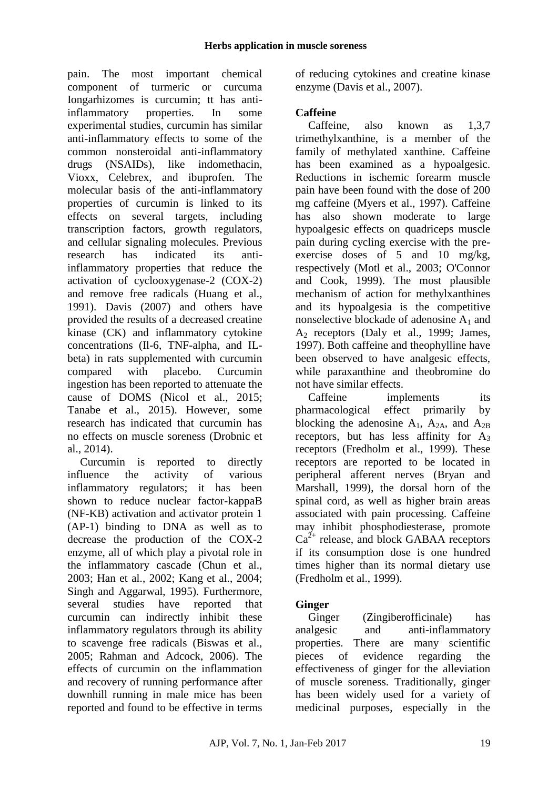pain. The most important chemical component of turmeric or curcuma Iongarhizomes is curcumin; tt has antiinflammatory properties. In some experimental studies, curcumin has similar anti-inflammatory effects to some of the common nonsteroidal anti-inflammatory drugs (NSAIDs), like indomethacin, Vioxx, Celebrex, and ibuprofen. The molecular basis of the anti-inflammatory properties of curcumin is linked to its effects on several targets, including transcription factors, growth regulators, and cellular signaling molecules. Previous research has indicated its antiinflammatory properties that reduce the activation of cyclooxygenase-2 (COX-2) and remove free radicals (Huang et al., 1991). Davis (2007) and others have provided the results of a decreased creatine kinase (CK) and inflammatory cytokine concentrations (Il-6, TNF-alpha, and ILbeta) in rats supplemented with curcumin compared with placebo. Curcumin ingestion has been reported to attenuate the cause of DOMS (Nicol et al., 2015; Tanabe et al., 2015). However, some research has indicated that curcumin has no effects on muscle soreness (Drobnic et al., 2014).

Curcumin is reported to directly influence the activity of various inflammatory regulators; it has been shown to reduce nuclear factor-kappaB (NF-KB) activation and activator protein 1 (AP-1) binding to DNA as well as to decrease the production of the COX-2 enzyme, all of which play a pivotal role in the inflammatory cascade (Chun et al., 2003; Han et al., 2002; Kang et al., 2004; Singh and Aggarwal, 1995). Furthermore, several studies have reported that curcumin can indirectly inhibit these inflammatory regulators through its ability to scavenge free radicals (Biswas et al., 2005; Rahman and Adcock, 2006). The effects of curcumin on the inflammation and recovery of running performance after downhill running in male mice has been reported and found to be effective in terms of reducing cytokines and creatine kinase enzyme (Davis et al., 2007).

## **Caffeine**

Caffeine, also known as 1,3,7 trimethylxanthine, is a member of the family of methylated xanthine. Caffeine has been examined as a hypoalgesic. Reductions in ischemic forearm muscle pain have been found with the dose of 200 mg caffeine (Myers et al., 1997). Caffeine has also shown moderate to large hypoalgesic effects on quadriceps muscle pain during cycling exercise with the preexercise doses of 5 and 10 mg/kg, respectively (Motl et al., 2003; O'Connor and Cook, 1999). The most plausible mechanism of action for methylxanthines and its hypoalgesia is the competitive nonselective blockade of adenosine  $A_1$  and A<sup>2</sup> receptors (Daly et al., 1999; James, 1997). Both caffeine and theophylline have been observed to have analgesic effects, while paraxanthine and theobromine do not have similar effects.

Caffeine implements its pharmacological effect primarily by blocking the adenosine  $A_1$ ,  $A_{2A}$ , and  $A_{2B}$ receptors, but has less affinity for  $A_3$ receptors (Fredholm et al., 1999). These receptors are reported to be located in peripheral afferent nerves (Bryan and Marshall, 1999), the dorsal horn of the spinal cord, as well as higher brain areas associated with pain processing. Caffeine may inhibit phosphodiesterase, promote  $Ca<sup>2+</sup>$  release, and block GABAA receptors if its consumption dose is one hundred times higher than its normal dietary use (Fredholm et al., 1999).

# **Ginger**

Ginger (Zingiberofficinale) has analgesic and anti-inflammatory properties. There are many scientific pieces of evidence regarding the effectiveness of ginger for the alleviation of muscle soreness. Traditionally, ginger has been widely used for a variety of medicinal purposes, especially in the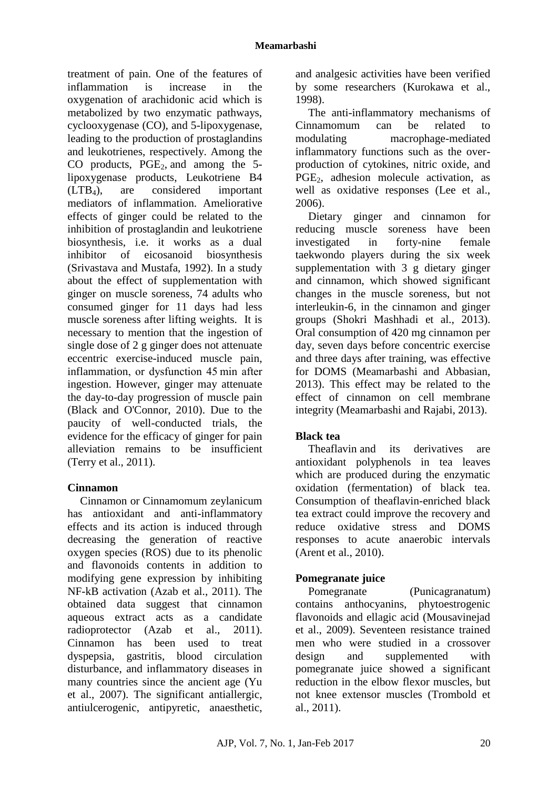treatment of pain. One of the features of inflammation is increase in the oxygenation of arachidonic acid which is metabolized by two enzymatic pathways, cyclooxygenase (CO), and 5-lipoxygenase, leading to the production of prostaglandins and leukotrienes, respectively. Among the CO products,  $PGE_2$ , and among the 5lipoxygenase products, Leukotriene B4 (LTB4), are considered important mediators of inflammation. Ameliorative effects of ginger could be related to the inhibition of prostaglandin and leukotriene biosynthesis, i.e. it works as a dual inhibitor of eicosanoid biosynthesis (Srivastava and Mustafa, 1992). In a study about the effect of supplementation with ginger on muscle soreness, 74 adults who consumed ginger for 11 days had less muscle soreness after lifting weights. It is necessary to mention that the ingestion of single dose of 2 g ginger does not attenuate eccentric exercise-induced muscle pain, inflammation, or dysfunction 45 min after ingestion. However, ginger may attenuate the day-to-day progression of muscle pain (Black and O'Connor, 2010). Due to the paucity of well-conducted trials, the evidence for the efficacy of ginger for pain alleviation remains to be insufficient (Terry et al., 2011).

## **Cinnamon**

Cinnamon or Cinnamomum zeylanicum has antioxidant and anti-inflammatory effects and its action is induced through decreasing the generation of reactive oxygen species (ROS) due to its phenolic and flavonoids contents in addition to modifying gene expression by inhibiting NF-kB activation (Azab et al., 2011). The obtained data suggest that cinnamon aqueous extract acts as a candidate radioprotector (Azab et al., 2011). Cinnamon has been used to treat dyspepsia, gastritis, blood circulation disturbance, and inflammatory diseases in many countries since the ancient age (Yu et al., 2007). The significant antiallergic, antiulcerogenic, antipyretic, anaesthetic, and analgesic activities have been verified by some researchers (Kurokawa et al., 1998).

The anti-inflammatory mechanisms of Cinnamomum can be related to modulating macrophage-mediated inflammatory functions such as the overproduction of cytokines, nitric oxide, and PGE<sub>2</sub>, adhesion molecule activation, as well as oxidative responses (Lee et al., 2006).

Dietary ginger and cinnamon for reducing muscle soreness have been investigated in forty-nine female taekwondo players during the six week supplementation with 3 g dietary ginger and cinnamon, which showed significant changes in the muscle soreness, but not interleukin-6, in the cinnamon and ginger groups (Shokri Mashhadi et al., 2013). Oral consumption of 420 mg cinnamon per day, seven days before concentric exercise and three days after training, was effective for DOMS (Meamarbashi and Abbasian, 2013). This effect may be related to the effect of cinnamon on cell membrane integrity (Meamarbashi and Rajabi, 2013).

## **Black tea**

Theaflavin and its derivatives are antioxidant polyphenols in tea leaves which are produced during the enzymatic oxidation (fermentation) of black tea. Consumption of theaflavin-enriched black tea extract could improve the recovery and reduce oxidative stress and DOMS responses to acute anaerobic intervals (Arent et al., 2010).

# **Pomegranate juice**

Pomegranate (Punicagranatum) contains anthocyanins, phytoestrogenic flavonoids and ellagic acid (Mousavinejad et al., 2009). Seventeen resistance trained men who were studied in a crossover design and supplemented with pomegranate juice showed a significant reduction in the elbow flexor muscles, but not knee extensor muscles (Trombold et al., 2011).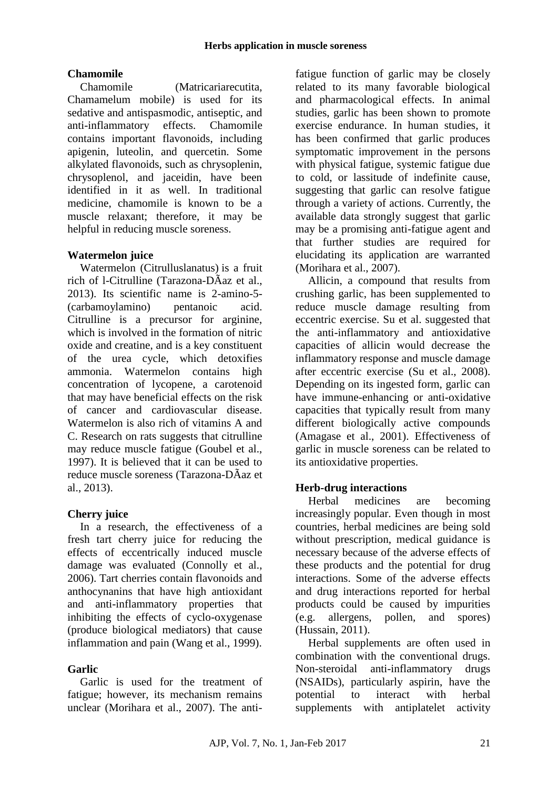## **Chamomile**

Chamomile (Matricariarecutita, Chamamelum mobile) is used for its sedative and antispasmodic, antiseptic, and anti-inflammatory effects. Chamomile contains important flavonoids, including apigenin, luteolin, and quercetin. Some alkylated flavonoids, such as chrysoplenin, chrysoplenol, and jaceidin, have been identified in it as well. In traditional medicine, chamomile is known to be a muscle relaxant; therefore, it may be helpful in reducing muscle soreness.

## **Watermelon juice**

Watermelon (Citrulluslanatus) is a fruit rich of l-Citrulline (Tarazona-DÃaz et al., 2013). Its scientific name is 2-amino-5- (carbamoylamino) pentanoic acid. Citrulline is a precursor for arginine, which is involved in the formation of nitric oxide and creatine, and is a key constituent of the urea cycle, which detoxifies ammonia. Watermelon contains high concentration of lycopene, a carotenoid that may have beneficial effects on the risk of cancer and cardiovascular disease. Watermelon is also rich of vitamins A and C. Research on rats suggests that citrulline may reduce muscle fatigue (Goubel et al., 1997). It is believed that it can be used to reduce muscle soreness (Tarazona-DÃaz et al., 2013).

## **Cherry juice**

In a research, the effectiveness of a fresh tart cherry juice for reducing the effects of eccentrically induced muscle damage was evaluated (Connolly et al., 2006). Tart cherries contain flavonoids and anthocynanins that have high antioxidant and anti-inflammatory properties that inhibiting the effects of cyclo-oxygenase (produce biological mediators) that cause inflammation and pain (Wang et al., 1999).

#### **Garlic**

Garlic is used for the treatment of fatigue; however, its mechanism remains unclear (Morihara et al., 2007). The antifatigue function of garlic may be closely related to its many favorable biological and pharmacological effects. In animal studies, garlic has been shown to promote exercise endurance. In human studies, it has been confirmed that garlic produces symptomatic improvement in the persons with physical fatigue, systemic fatigue due to cold, or lassitude of indefinite cause, suggesting that garlic can resolve fatigue through a variety of actions. Currently, the available data strongly suggest that garlic may be a promising anti-fatigue agent and that further studies are required for elucidating its application are warranted (Morihara et al., 2007).

Allicin, a compound that results from crushing garlic, has been supplemented to reduce muscle damage resulting from eccentric exercise. Su et al. suggested that the anti-inflammatory and antioxidative capacities of allicin would decrease the inflammatory response and muscle damage after eccentric exercise (Su et al., 2008). Depending on its ingested form, garlic can have immune-enhancing or anti-oxidative capacities that typically result from many different biologically active compounds (Amagase et al., 2001). Effectiveness of garlic in muscle soreness can be related to its antioxidative properties.

## **Herb-drug interactions**

Herbal medicines are becoming increasingly popular. Even though in most countries, herbal medicines are being sold without prescription, medical guidance is necessary because of the adverse effects of these products and the potential for drug interactions. Some of the adverse effects and drug interactions reported for herbal products could be caused by impurities (e.g. allergens, pollen, and spores) (Hussain, 2011).

Herbal supplements are often used in combination with the conventional drugs. Non-steroidal anti-inflammatory drugs (NSAIDs), particularly aspirin, have the potential to interact with herbal supplements with antiplatelet activity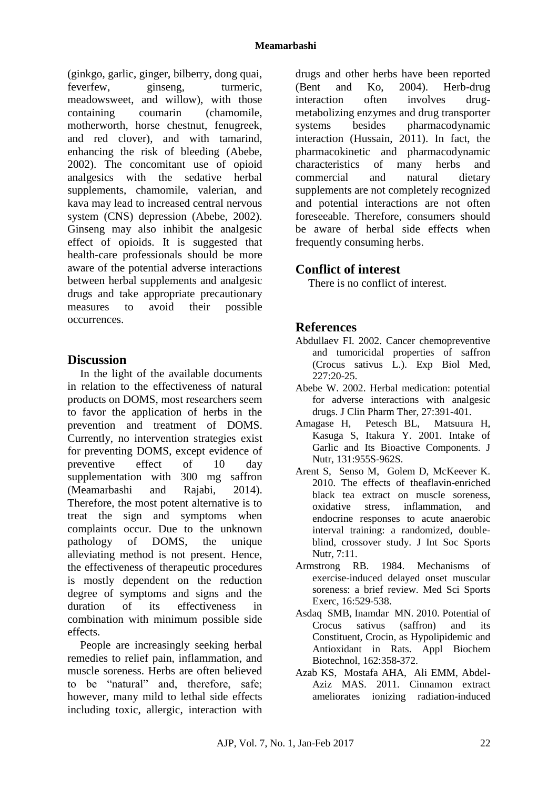(ginkgo, garlic, ginger, bilberry, dong quai, feverfew, ginseng, turmeric, meadowsweet, and willow), with those containing coumarin (chamomile, motherworth, horse chestnut, fenugreek, and red clover), and with tamarind, enhancing the risk of bleeding (Abebe, 2002). The concomitant use of opioid analgesics with the sedative herbal supplements, chamomile, valerian, and kava may lead to increased central nervous system (CNS) depression (Abebe, 2002). Ginseng may also inhibit the analgesic effect of opioids. It is suggested that health-care professionals should be more aware of the potential adverse interactions between herbal supplements and analgesic drugs and take appropriate precautionary measures to avoid their possible occurrences.

## **Discussion**

In the light of the available documents in relation to the effectiveness of natural products on DOMS, most researchers seem to favor the application of herbs in the prevention and treatment of DOMS. Currently, no intervention strategies exist for preventing DOMS, except evidence of preventive effect of 10 day supplementation with 300 mg saffron (Meamarbashi and Rajabi, 2014). Therefore, the most potent alternative is to treat the sign and symptoms when complaints occur. Due to the unknown pathology of DOMS, the unique alleviating method is not present. Hence, the effectiveness of therapeutic procedures is mostly dependent on the reduction degree of symptoms and signs and the duration of its effectiveness in combination with minimum possible side effects.

People are increasingly seeking herbal remedies to relief pain, inflammation, and muscle soreness. Herbs are often believed to be "natural" and, therefore, safe; however, many mild to lethal side effects including toxic, allergic, interaction with

drugs and other herbs have been reported (Bent and Ko, 2004). Herb-drug interaction often involves drugmetabolizing enzymes and drug transporter systems besides pharmacodynamic interaction (Hussain, 2011). In fact, the pharmacokinetic and pharmacodynamic characteristics of many herbs and commercial and natural dietary supplements are not completely recognized and potential interactions are not often foreseeable. Therefore, consumers should be aware of herbal side effects when frequently consuming herbs.

## **Conflict of interest**

There is no conflict of interest.

## **References**

- Abdullaev FI. 2002. Cancer chemopreventive and tumoricidal properties of saffron (Crocus sativus L.). Exp Biol Med,  $227:20-25$
- Abebe W. 2002. Herbal medication: potential for adverse interactions with analgesic drugs. J Clin Pharm Ther, 27:391-401.
- Amagase H, Petesch BL, Matsuura H, Kasuga S, Itakura Y. 2001. Intake of Garlic and Its Bioactive Components. J Nutr, 131:955S-962S.
- Arent S, Senso M, Golem D, McKeever K. 2010. The effects of theaflavin-enriched black tea extract on muscle soreness, oxidative stress, inflammation, and endocrine responses to acute anaerobic interval training: a randomized, doubleblind, crossover study. J Int Soc Sports Nutr, 7:11.
- Armstrong RB. 1984. Mechanisms of exercise-induced delayed onset muscular soreness: a brief review. Med Sci Sports Exerc, 16:529-538.
- Asdaq SMB, Inamdar MN. 2010. Potential of Crocus sativus (saffron) and its Constituent, Crocin, as Hypolipidemic and Antioxidant in Rats. Appl Biochem Biotechnol, 162:358-372.
- Azab KS, Mostafa AHA, Ali EMM, Abdel-Aziz MAS. 2011. Cinnamon extract ameliorates ionizing radiation-induced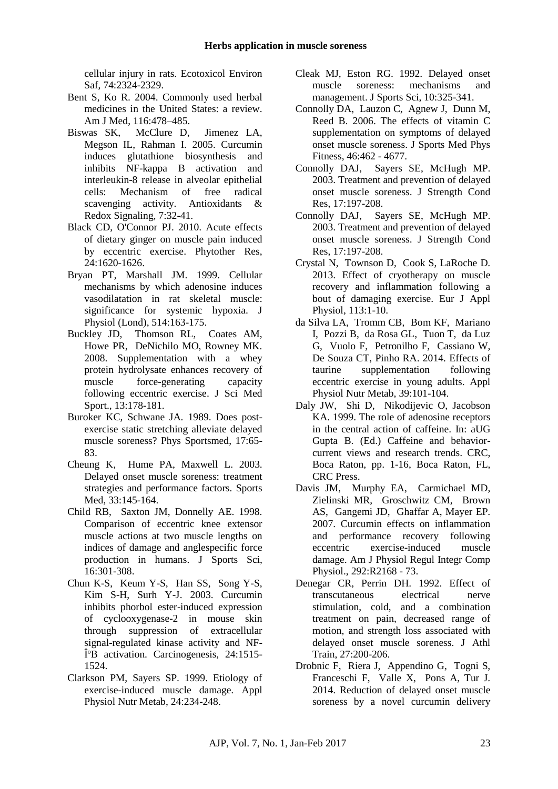cellular injury in rats. Ecotoxicol Environ Saf, 74:2324-2329.

- Bent S, Ko R. 2004. Commonly used herbal medicines in the United States: a review. Am J Med, 116:478–485.
- Biswas SK, McClure D, Jimenez LA, Megson IL, Rahman I. 2005. Curcumin induces glutathione biosynthesis and inhibits NF-kappa B activation and interleukin-8 release in alveolar epithelial cells: Mechanism of free radical scavenging activity. Antioxidants & Redox Signaling, 7:32-41.
- Black CD, O'Connor PJ. 2010. Acute effects of dietary ginger on muscle pain induced by eccentric exercise. Phytother Res, 24:1620-1626.
- Bryan PT, Marshall JM. 1999. Cellular mechanisms by which adenosine induces vasodilatation in rat skeletal muscle: significance for systemic hypoxia. J Physiol (Lond), 514:163-175.
- Buckley JD, Thomson RL, Coates AM, Howe PR, DeNichilo MO, Rowney MK. 2008. Supplementation with a whey protein hydrolysate enhances recovery of muscle force-generating capacity following eccentric exercise. J Sci Med Sport., 13:178-181.
- Buroker KC, Schwane JA. 1989. Does postexercise static stretching alleviate delayed muscle soreness? Phys Sportsmed, 17:65- 83.
- Cheung K, Hume PA, Maxwell L. 2003. Delayed onset muscle soreness: treatment strategies and performance factors. Sports Med, 33:145-164.
- Child RB, Saxton JM, Donnelly AE. 1998. Comparison of eccentric knee extensor muscle actions at two muscle lengths on indices of damage and anglespecific force production in humans. J Sports Sci, 16:301-308.
- Chun K-S, Keum Y-S, Han SS, Song Y-S, Kim S-H, Surh Y-J. 2003. Curcumin inhibits phorbol ester-induced expression of cyclooxygenase-2 in mouse skin through suppression of extracellular signal-regulated kinase activity and NF- $\hat{I}$ <sup>o</sup>B activation. Carcinogenesis, 24:1515-1524.
- Clarkson PM, Sayers SP. 1999. Etiology of exercise-induced muscle damage. Appl Physiol Nutr Metab, 24:234-248.
- Cleak MJ, Eston RG. 1992. Delayed onset muscle soreness: mechanisms and management. J Sports Sci, 10:325-341.
- Connolly DA, Lauzon C, Agnew J, Dunn M, Reed B. 2006. The effects of vitamin C supplementation on symptoms of delayed onset muscle soreness. J Sports Med Phys Fitness, 46:462 - 4677.
- Connolly DAJ, Sayers SE, McHugh MP. 2003. Treatment and prevention of delayed onset muscle soreness. J Strength Cond Res, 17:197-208.
- Connolly DAJ, Sayers SE, McHugh MP. 2003. Treatment and prevention of delayed onset muscle soreness. J Strength Cond Res, 17:197-208.
- Crystal N, Townson D, Cook S, LaRoche D. 2013. Effect of cryotherapy on muscle recovery and inflammation following a bout of damaging exercise. Eur J Appl Physiol, 113:1-10.
- da Silva LA, Tromm CB, Bom KF, Mariano I, Pozzi B, da Rosa GL, Tuon T, da Luz G, Vuolo F, Petronilho F, Cassiano W, De Souza CT, Pinho RA. 2014. Effects of taurine supplementation following eccentric exercise in young adults. Appl Physiol Nutr Metab, 39:101-104.
- Daly JW, Shi D, Nikodijevic O, Jacobson KA. 1999. The role of adenosine receptors in the central action of caffeine. In: aUG Gupta B. (Ed.) Caffeine and behaviorcurrent views and research trends. CRC, Boca Raton, pp. 1-16, Boca Raton, FL, CRC Press.
- Davis JM, Murphy EA, Carmichael MD, Zielinski MR, Groschwitz CM, Brown AS, Gangemi JD, Ghaffar A, Mayer EP. 2007. Curcumin effects on inflammation and performance recovery following eccentric exercise-induced muscle damage. Am J Physiol Regul Integr Comp Physiol., 292:R2168 - 73.
- Denegar CR, Perrin DH. 1992. Effect of transcutaneous electrical nerve stimulation, cold, and a combination treatment on pain, decreased range of motion, and strength loss associated with delayed onset muscle soreness. J Athl Train, 27:200-206.
- Drobnic F, Riera J, Appendino G, Togni S, Franceschi F, Valle X, Pons A, Tur J. 2014. Reduction of delayed onset muscle soreness by a novel curcumin delivery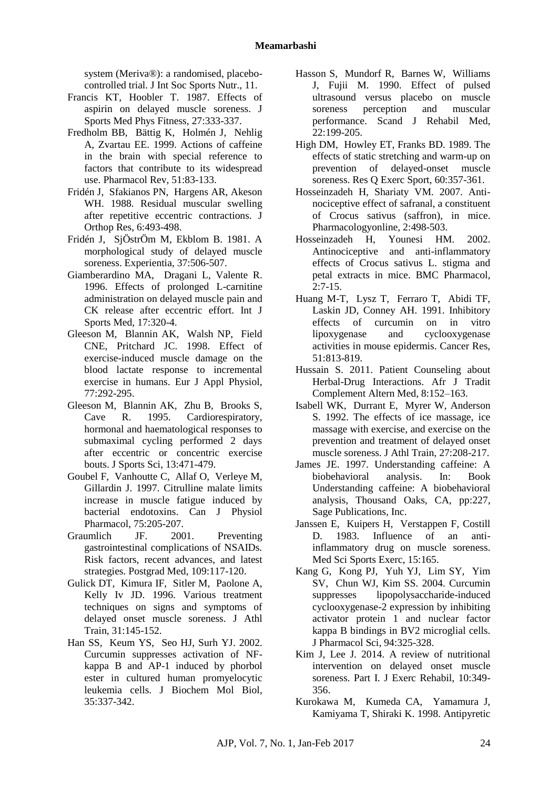system (Meriva®): a randomised, placebocontrolled trial. J Int Soc Sports Nutr., 11.

- Francis KT, Hoobler T. 1987. Effects of aspirin on delayed muscle soreness. J Sports Med Phys Fitness, 27:333-337.
- Fredholm BB, Bättig K, Holmén J, Nehlig A, Zvartau EE. 1999. Actions of caffeine in the brain with special reference to factors that contribute to its widespread use. Pharmacol Rev, 51:83-133.
- Fridén J, Sfakianos PN, Hargens AR, Akeson WH. 1988. Residual muscular swelling after repetitive eccentric contractions. J Orthop Res, 6:493-498.
- Fridén J, SjÖstrÖm M, Ekblom B. 1981. A morphological study of delayed muscle soreness. Experientia, 37:506-507.
- Giamberardino MA, Dragani L, Valente R. 1996. Effects of prolonged L-carnitine administration on delayed muscle pain and CK release after eccentric effort. Int J Sports Med, 17:320-4.
- Gleeson M, Blannin AK, Walsh NP, Field CNE, Pritchard JC. 1998. Effect of exercise-induced muscle damage on the blood lactate response to incremental exercise in humans. Eur J Appl Physiol, 77:292-295.
- Gleeson M, Blannin AK, Zhu B, Brooks S, Cave R. 1995. Cardiorespiratory, hormonal and haematological responses to submaximal cycling performed 2 days after eccentric or concentric exercise bouts. J Sports Sci, 13:471-479.
- Goubel F, Vanhoutte C, Allaf O, Verleye M, Gillardin J. 1997. Citrulline malate limits increase in muscle fatigue induced by bacterial endotoxins. Can J Physiol Pharmacol, 75:205-207.
- Graumlich JF. 2001. Preventing gastrointestinal complications of NSAIDs. Risk factors, recent advances, and latest strategies. Postgrad Med, 109:117-120.
- Gulick DT, Kimura IF, Sitler M, Paolone A, Kelly Iv JD. 1996. Various treatment techniques on signs and symptoms of delayed onset muscle soreness. J Athl Train, 31:145-152.
- Han SS, Keum YS, Seo HJ, Surh YJ. 2002. Curcumin suppresses activation of NFkappa B and AP-1 induced by phorbol ester in cultured human promyelocytic leukemia cells. J Biochem Mol Biol, 35:337-342.
- Hasson S, Mundorf R, Barnes W, Williams J, Fujii M. 1990. Effect of pulsed ultrasound versus placebo on muscle soreness perception and muscular performance. Scand J Rehabil Med, 22:199-205.
- High DM, Howley ET, Franks BD. 1989. The effects of static stretching and warm-up on prevention of delayed-onset muscle soreness. Res Q Exerc Sport, 60:357-361.
- Hosseinzadeh H, Shariaty VM. 2007. Antinociceptive effect of safranal, a constituent of Crocus sativus (saffron), in mice. Pharmacologyonline, 2:498-503.
- Hosseinzadeh H, Younesi HM. 2002. Antinociceptive and anti-inflammatory effects of Crocus sativus L. stigma and petal extracts in mice. BMC Pharmacol, 2:7-15.
- Huang M-T, Lysz T, Ferraro T, Abidi TF, Laskin JD, Conney AH. 1991. Inhibitory effects of curcumin on in vitro lipoxygenase and cyclooxygenase activities in mouse epidermis. Cancer Res, 51:813-819.
- Hussain S. 2011. Patient Counseling about Herbal-Drug Interactions. Afr J Tradit Complement Altern Med, 8:152–163.
- Isabell WK, Durrant E, Myrer W, Anderson S. 1992. The effects of ice massage, ice massage with exercise, and exercise on the prevention and treatment of delayed onset muscle soreness. J Athl Train, 27:208-217.
- James JE. 1997. Understanding caffeine: A biobehavioral analysis. In: Book Understanding caffeine: A biobehavioral analysis, Thousand Oaks, CA, pp:227, Sage Publications, Inc.
- Janssen E, Kuipers H, Verstappen F, Costill D. 1983. Influence of an antiinflammatory drug on muscle soreness. Med Sci Sports Exerc, 15:165.
- Kang G, Kong PJ, Yuh YJ, Lim SY, Yim SV, Chun WJ, Kim SS. 2004. Curcumin suppresses lipopolysaccharide-induced cyclooxygenase-2 expression by inhibiting activator protein 1 and nuclear factor kappa B bindings in BV2 microglial cells. J Pharmacol Sci, 94:325-328.
- Kim J, Lee J. 2014. A review of nutritional intervention on delayed onset muscle soreness. Part I. J Exerc Rehabil, 10:349- 356.
- Kurokawa M, Kumeda CA, Yamamura J, Kamiyama T, Shiraki K. 1998. Antipyretic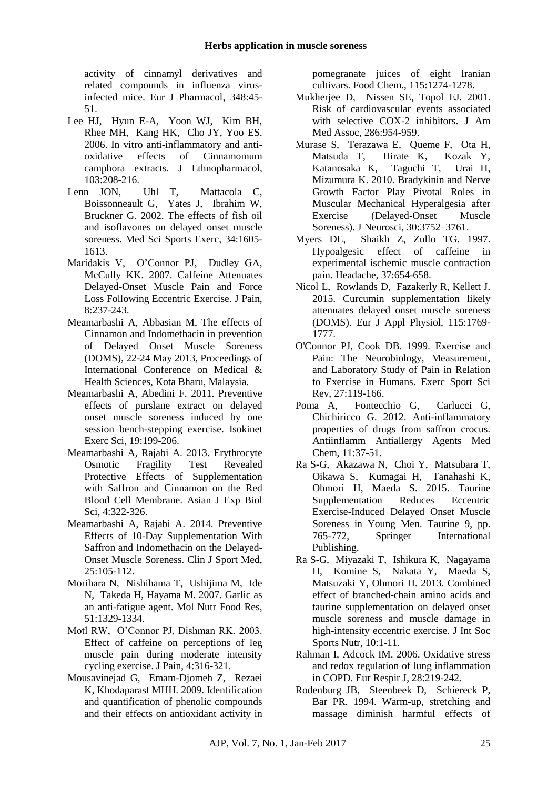activity of cinnamyl derivatives and related compounds in influenza virusinfected mice. Eur J Pharmacol, 348:45- 51.

- Lee HJ, Hyun E-A, Yoon WJ, Kim BH, Rhee MH, Kang HK, Cho JY, Yoo ES. 2006. In vitro anti-inflammatory and antioxidative effects of Cinnamomum camphora extracts. J Ethnopharmacol, 103:208-216.
- Lenn JON, Uhl T, Mattacola C, Boissonneault G, Yates J, Ibrahim W, Bruckner G. 2002. The effects of fish oil and isoflavones on delayed onset muscle soreness. Med Sci Sports Exerc, 34:1605- 1613.
- Maridakis V, O'Connor PJ, Dudley GA, McCully KK. 2007. Caffeine Attenuates Delayed-Onset Muscle Pain and Force Loss Following Eccentric Exercise. J Pain, 8:237-243.
- Meamarbashi A, Abbasian M, The effects of Cinnamon and Indomethacin in prevention of Delayed Onset Muscle Soreness (DOMS), 22-24 May 2013, Proceedings of International Conference on Medical & Health Sciences, Kota Bharu, Malaysia.
- Meamarbashi A, Abedini F. 2011. Preventive effects of purslane extract on delayed onset muscle soreness induced by one session bench-stepping exercise. Isokinet Exerc Sci, 19:199-206.
- Meamarbashi A, Rajabi A. 2013. Erythrocyte Osmotic Fragility Test Revealed Protective Effects of Supplementation with Saffron and Cinnamon on the Red Blood Cell Membrane. Asian J Exp Biol Sci, 4:322-326.
- Meamarbashi A, Rajabi A. 2014. Preventive Effects of 10-Day Supplementation With Saffron and Indomethacin on the Delayed-Onset Muscle Soreness. Clin J Sport Med, 25:105-112.
- Morihara N, Nishihama T, Ushijima M, Ide N, Takeda H, Hayama M. 2007. Garlic as an anti-fatigue agent. Mol Nutr Food Res, 51:1329-1334.
- Motl RW, O'Connor PJ, Dishman RK. 2003. Effect of caffeine on perceptions of leg muscle pain during moderate intensity cycling exercise. J Pain, 4:316-321.
- Mousavinejad G, Emam-Djomeh Z, Rezaei K, Khodaparast MHH. 2009. Identification and quantification of phenolic compounds and their effects on antioxidant activity in

pomegranate juices of eight Iranian cultivars. Food Chem., 115:1274-1278.

- Mukherjee D, Nissen SE, Topol EJ. 2001. Risk of cardiovascular events associated with selective COX-2 inhibitors. J Am Med Assoc, 286:954-959.
- Murase S, Terazawa E, Queme F, Ota H, Matsuda T, Hirate K, Kozak Y, Katanosaka K, Taguchi T, Urai H, Mizumura K. 2010. Bradykinin and Nerve Growth Factor Play Pivotal Roles in Muscular Mechanical Hyperalgesia after Exercise (Delayed-Onset Muscle Soreness). J Neurosci, 30:3752–3761.
- Myers DE, Shaikh Z, Zullo TG. 1997. Hypoalgesic effect of caffeine in experimental ischemic muscle contraction pain. Headache, 37:654-658.
- Nicol L, Rowlands D, Fazakerly R, Kellett J. 2015. Curcumin supplementation likely attenuates delayed onset muscle soreness (DOMS). Eur J Appl Physiol, 115:1769- 1777.
- O'Connor PJ, Cook DB. 1999. Exercise and Pain: The Neurobiology, Measurement, and Laboratory Study of Pain in Relation to Exercise in Humans. Exerc Sport Sci Rev, 27:119-166.
- Poma A, Fontecchio G, Carlucci G, Chichiricco G. 2012. Anti-inflammatory properties of drugs from saffron crocus. Antiinflamm Antiallergy Agents Med Chem, 11:37-51.
- Ra S-G, Akazawa N, Choi Y, Matsubara T, Oikawa S, Kumagai H, Tanahashi K, Ohmori H, Maeda S. 2015. Taurine Supplementation Reduces Eccentric Exercise-Induced Delayed Onset Muscle Soreness in Young Men. Taurine 9, pp. 765-772, Springer International Publishing.
- Ra S-G, Miyazaki T, Ishikura K, Nagayama H, Komine S, Nakata Y, Maeda S, Matsuzaki Y, Ohmori H. 2013. Combined effect of branched-chain amino acids and taurine supplementation on delayed onset muscle soreness and muscle damage in high-intensity eccentric exercise. J Int Soc Sports Nutr, 10:1-11.
- Rahman I, Adcock IM. 2006. Oxidative stress and redox regulation of lung inflammation in COPD. Eur Respir J, 28:219-242.
- Rodenburg JB, Steenbeek D, Schiereck P, Bar PR. 1994. Warm-up, stretching and massage diminish harmful effects of